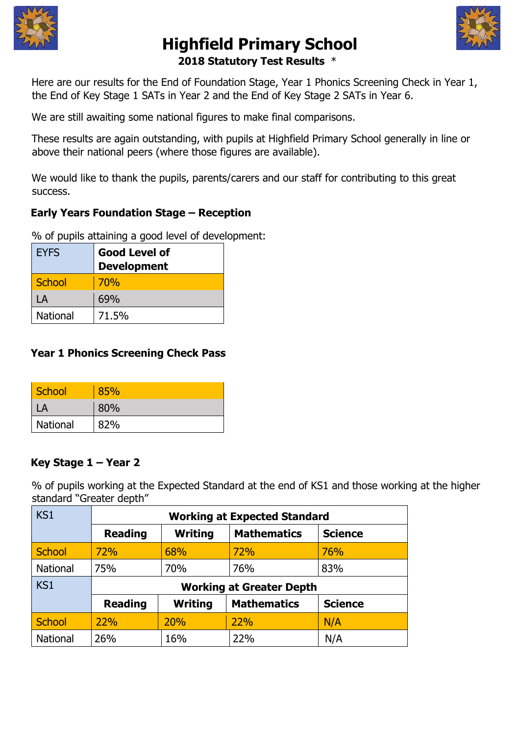



# **Highfield Primary School 2018 Statutory Test Results** \*

Here are our results for the End of Foundation Stage, Year 1 Phonics Screening Check in Year 1, the End of Key Stage 1 SATs in Year 2 and the End of Key Stage 2 SATs in Year 6.

We are still awaiting some national figures to make final comparisons.

These results are again outstanding, with pupils at Highfield Primary School generally in line or above their national peers (where those figures are available).

We would like to thank the pupils, parents/carers and our staff for contributing to this great success.

## **Early Years Foundation Stage – Reception**

% of pupils attaining a good level of development:

| <b>EYFS</b>             | <b>Good Level of</b><br><b>Development</b> |
|-------------------------|--------------------------------------------|
| School                  | <b>70%</b>                                 |
| $\overline{\mathsf{A}}$ | 69%                                        |
| National                | 71.5%                                      |

### **Year 1 Phonics Screening Check Pass**

| School   | 85% |
|----------|-----|
|          | 80% |
| National | 82% |

### **Key Stage 1 – Year 2**

% of pupils working at the Expected Standard at the end of KS1 and those working at the higher standard "Greater depth"

| KS <sub>1</sub> | <b>Working at Expected Standard</b> |                |                    |                |
|-----------------|-------------------------------------|----------------|--------------------|----------------|
|                 | <b>Reading</b>                      | <b>Writing</b> | <b>Mathematics</b> | <b>Science</b> |
| <b>School</b>   | 72%                                 | 68%            | 72%                | 76%            |
| National        | 75%                                 | 70%            | 76%                | 83%            |
| KS1             | <b>Working at Greater Depth</b>     |                |                    |                |
|                 | <b>Reading</b>                      | <b>Writing</b> | <b>Mathematics</b> | <b>Science</b> |
| <b>School</b>   | <b>22%</b>                          | <b>20%</b>     | <b>22%</b>         | N/A            |
| National        | 26%                                 | 16%            | 22%                | N/A            |